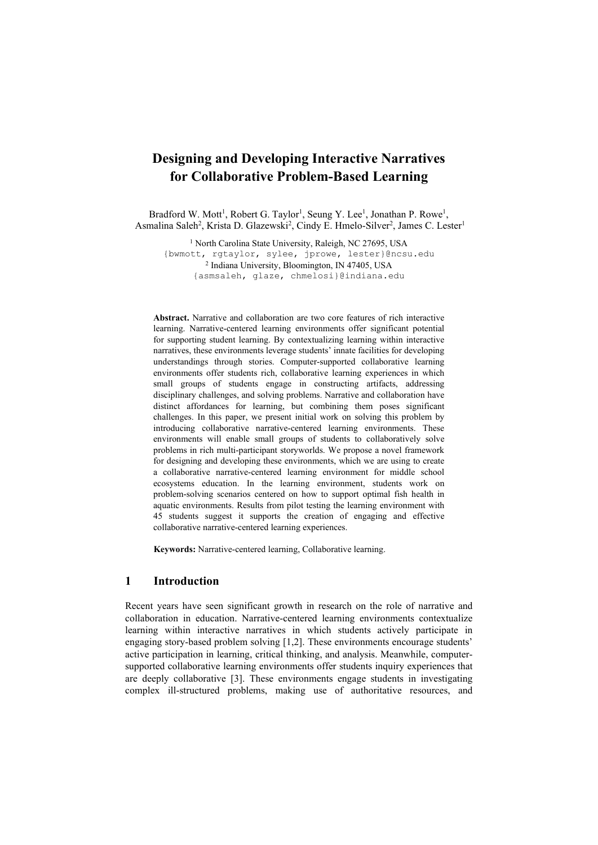# **Designing and Developing Interactive Narratives for Collaborative Problem-Based Learning**

Bradford W. Mott<sup>1</sup>, Robert G. Taylor<sup>1</sup>, Seung Y. Lee<sup>1</sup>, Jonathan P. Rowe<sup>1</sup>, Asmalina Saleh<sup>2</sup>, Krista D. Glazewski<sup>2</sup>, Cindy E. Hmelo-Silver<sup>2</sup>, James C. Lester<sup>1</sup>

<sup>1</sup> North Carolina State University, Raleigh, NC 27695, USA {bwmott, rgtaylor, sylee, jprowe, lester}@ncsu.edu <sup>2</sup> Indiana University, Bloomington, IN 47405, USA {asmsaleh, glaze, chmelosi}@indiana.edu

**Abstract.** Narrative and collaboration are two core features of rich interactive learning. Narrative-centered learning environments offer significant potential for supporting student learning. By contextualizing learning within interactive narratives, these environments leverage students' innate facilities for developing understandings through stories. Computer-supported collaborative learning environments offer students rich, collaborative learning experiences in which small groups of students engage in constructing artifacts, addressing disciplinary challenges, and solving problems. Narrative and collaboration have distinct affordances for learning, but combining them poses significant challenges. In this paper, we present initial work on solving this problem by introducing collaborative narrative-centered learning environments. These environments will enable small groups of students to collaboratively solve problems in rich multi-participant storyworlds. We propose a novel framework for designing and developing these environments, which we are using to create a collaborative narrative-centered learning environment for middle school ecosystems education. In the learning environment, students work on problem-solving scenarios centered on how to support optimal fish health in aquatic environments. Results from pilot testing the learning environment with 45 students suggest it supports the creation of engaging and effective collaborative narrative-centered learning experiences.

**Keywords:** Narrative-centered learning, Collaborative learning.

### **1 Introduction**

Recent years have seen significant growth in research on the role of narrative and collaboration in education. Narrative-centered learning environments contextualize learning within interactive narratives in which students actively participate in engaging story-based problem solving [1,2]. These environments encourage students' active participation in learning, critical thinking, and analysis. Meanwhile, computersupported collaborative learning environments offer students inquiry experiences that are deeply collaborative [3]. These environments engage students in investigating complex ill-structured problems, making use of authoritative resources, and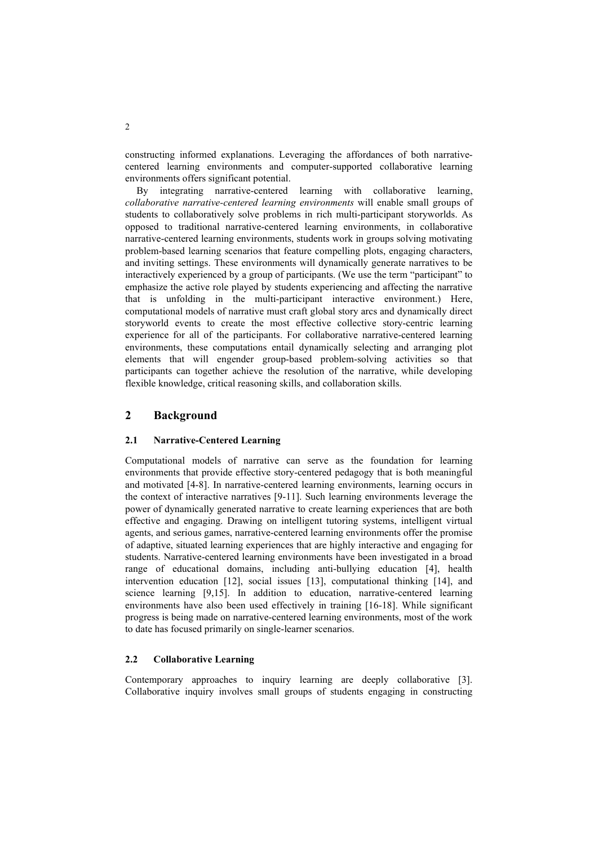constructing informed explanations. Leveraging the affordances of both narrativecentered learning environments and computer-supported collaborative learning environments offers significant potential.

By integrating narrative-centered learning with collaborative learning, *collaborative narrative-centered learning environments* will enable small groups of students to collaboratively solve problems in rich multi-participant storyworlds. As opposed to traditional narrative-centered learning environments, in collaborative narrative-centered learning environments, students work in groups solving motivating problem-based learning scenarios that feature compelling plots, engaging characters, and inviting settings. These environments will dynamically generate narratives to be interactively experienced by a group of participants. (We use the term "participant" to emphasize the active role played by students experiencing and affecting the narrative that is unfolding in the multi-participant interactive environment.) Here, computational models of narrative must craft global story arcs and dynamically direct storyworld events to create the most effective collective story-centric learning experience for all of the participants. For collaborative narrative-centered learning environments, these computations entail dynamically selecting and arranging plot elements that will engender group-based problem-solving activities so that participants can together achieve the resolution of the narrative, while developing flexible knowledge, critical reasoning skills, and collaboration skills.

### **2 Background**

#### **2.1 Narrative-Centered Learning**

Computational models of narrative can serve as the foundation for learning environments that provide effective story-centered pedagogy that is both meaningful and motivated [4-8]. In narrative-centered learning environments, learning occurs in the context of interactive narratives [9-11]. Such learning environments leverage the power of dynamically generated narrative to create learning experiences that are both effective and engaging. Drawing on intelligent tutoring systems, intelligent virtual agents, and serious games, narrative-centered learning environments offer the promise of adaptive, situated learning experiences that are highly interactive and engaging for students. Narrative-centered learning environments have been investigated in a broad range of educational domains, including anti-bullying education [4], health intervention education [12], social issues [13], computational thinking [14], and science learning [9,15]. In addition to education, narrative-centered learning environments have also been used effectively in training [16-18]. While significant progress is being made on narrative-centered learning environments, most of the work to date has focused primarily on single-learner scenarios.

#### **2.2 Collaborative Learning**

Contemporary approaches to inquiry learning are deeply collaborative [3]. Collaborative inquiry involves small groups of students engaging in constructing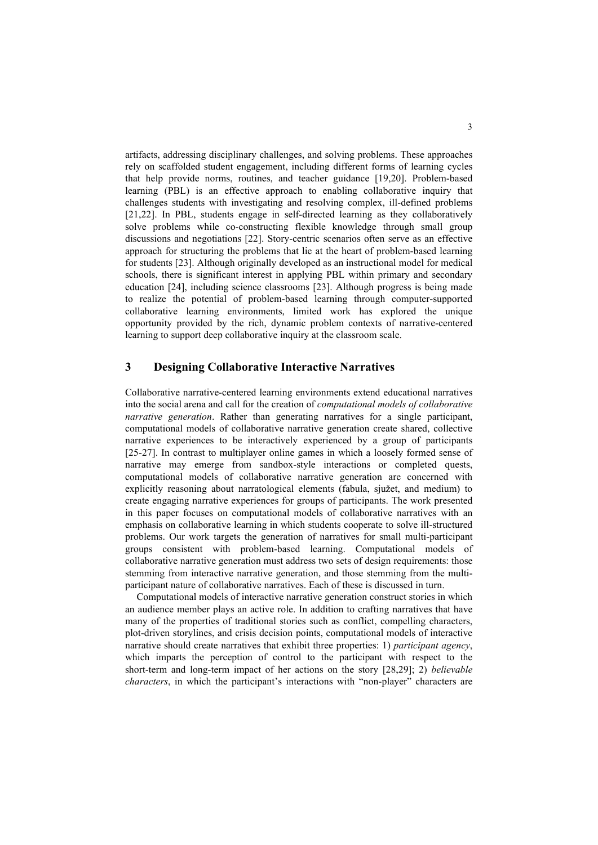artifacts, addressing disciplinary challenges, and solving problems. These approaches rely on scaffolded student engagement, including different forms of learning cycles that help provide norms, routines, and teacher guidance [19,20]. Problem-based learning (PBL) is an effective approach to enabling collaborative inquiry that challenges students with investigating and resolving complex, ill-defined problems [21,22]. In PBL, students engage in self-directed learning as they collaboratively solve problems while co-constructing flexible knowledge through small group discussions and negotiations [22]. Story-centric scenarios often serve as an effective approach for structuring the problems that lie at the heart of problem-based learning for students [23]. Although originally developed as an instructional model for medical schools, there is significant interest in applying PBL within primary and secondary education [24], including science classrooms [23]. Although progress is being made to realize the potential of problem-based learning through computer-supported collaborative learning environments, limited work has explored the unique opportunity provided by the rich, dynamic problem contexts of narrative-centered learning to support deep collaborative inquiry at the classroom scale.

### **3 Designing Collaborative Interactive Narratives**

Collaborative narrative-centered learning environments extend educational narratives into the social arena and call for the creation of *computational models of collaborative narrative generation*. Rather than generating narratives for a single participant, computational models of collaborative narrative generation create shared, collective narrative experiences to be interactively experienced by a group of participants [25-27]. In contrast to multiplayer online games in which a loosely formed sense of narrative may emerge from sandbox-style interactions or completed quests, computational models of collaborative narrative generation are concerned with explicitly reasoning about narratological elements (fabula, sjužet, and medium) to create engaging narrative experiences for groups of participants. The work presented in this paper focuses on computational models of collaborative narratives with an emphasis on collaborative learning in which students cooperate to solve ill-structured problems. Our work targets the generation of narratives for small multi-participant groups consistent with problem-based learning. Computational models of collaborative narrative generation must address two sets of design requirements: those stemming from interactive narrative generation, and those stemming from the multiparticipant nature of collaborative narratives. Each of these is discussed in turn.

Computational models of interactive narrative generation construct stories in which an audience member plays an active role. In addition to crafting narratives that have many of the properties of traditional stories such as conflict, compelling characters, plot-driven storylines, and crisis decision points, computational models of interactive narrative should create narratives that exhibit three properties: 1) *participant agency*, which imparts the perception of control to the participant with respect to the short-term and long-term impact of her actions on the story [28,29]; 2) *believable characters*, in which the participant's interactions with "non-player" characters are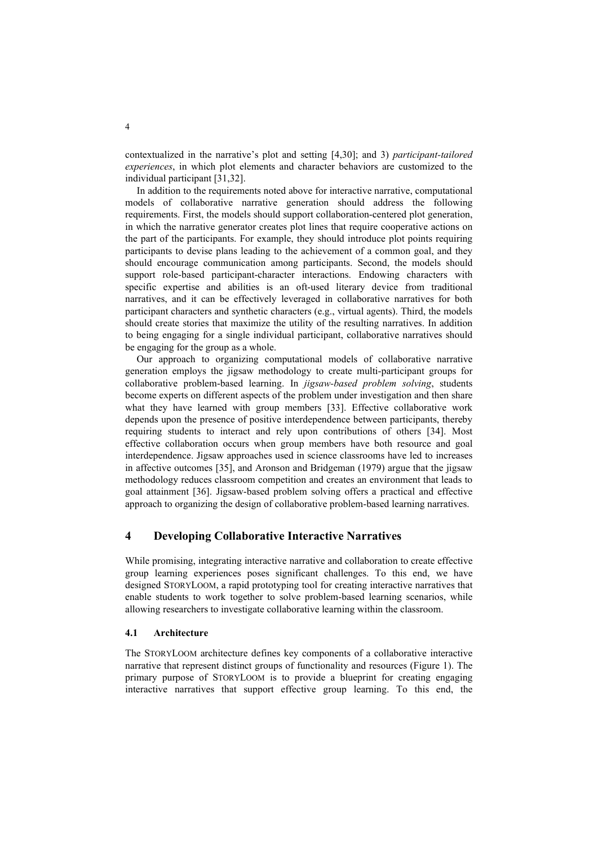contextualized in the narrative's plot and setting [4,30]; and 3) *participant-tailored experiences*, in which plot elements and character behaviors are customized to the individual participant [31,32].

In addition to the requirements noted above for interactive narrative, computational models of collaborative narrative generation should address the following requirements. First, the models should support collaboration-centered plot generation, in which the narrative generator creates plot lines that require cooperative actions on the part of the participants. For example, they should introduce plot points requiring participants to devise plans leading to the achievement of a common goal, and they should encourage communication among participants. Second, the models should support role-based participant-character interactions. Endowing characters with specific expertise and abilities is an oft-used literary device from traditional narratives, and it can be effectively leveraged in collaborative narratives for both participant characters and synthetic characters (e.g., virtual agents). Third, the models should create stories that maximize the utility of the resulting narratives. In addition to being engaging for a single individual participant, collaborative narratives should be engaging for the group as a whole.

Our approach to organizing computational models of collaborative narrative generation employs the jigsaw methodology to create multi-participant groups for collaborative problem-based learning. In *jigsaw-based problem solving*, students become experts on different aspects of the problem under investigation and then share what they have learned with group members [33]. Effective collaborative work depends upon the presence of positive interdependence between participants, thereby requiring students to interact and rely upon contributions of others [34]. Most effective collaboration occurs when group members have both resource and goal interdependence. Jigsaw approaches used in science classrooms have led to increases in affective outcomes [35], and Aronson and Bridgeman (1979) argue that the jigsaw methodology reduces classroom competition and creates an environment that leads to goal attainment [36]. Jigsaw-based problem solving offers a practical and effective approach to organizing the design of collaborative problem-based learning narratives.

### **4 Developing Collaborative Interactive Narratives**

While promising, integrating interactive narrative and collaboration to create effective group learning experiences poses significant challenges. To this end, we have designed STORYLOOM, a rapid prototyping tool for creating interactive narratives that enable students to work together to solve problem-based learning scenarios, while allowing researchers to investigate collaborative learning within the classroom.

#### **4.1 Architecture**

The STORYLOOM architecture defines key components of a collaborative interactive narrative that represent distinct groups of functionality and resources (Figure 1). The primary purpose of STORYLOOM is to provide a blueprint for creating engaging interactive narratives that support effective group learning. To this end, the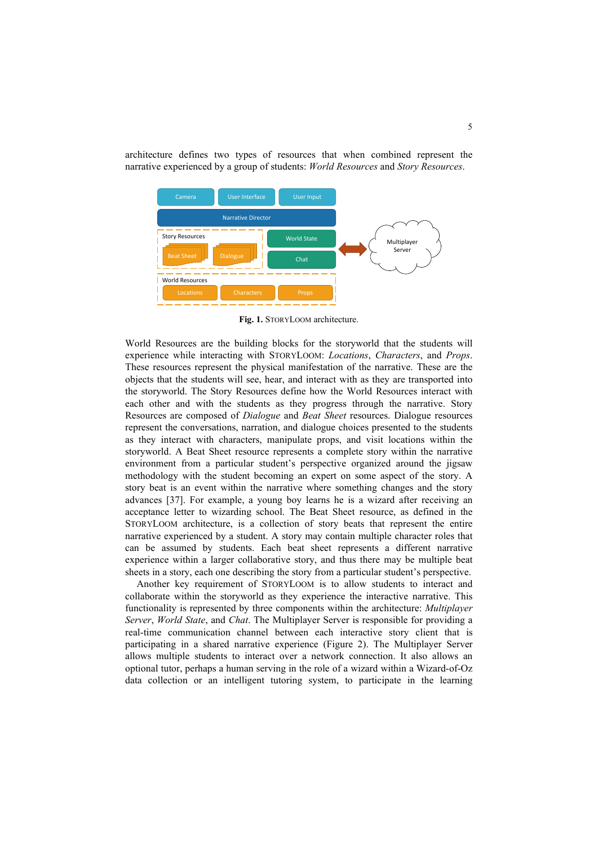

architecture defines two types of resources that when combined represent the narrative experienced by a group of students: *World Resources* and *Story Resources*.

**Fig. 1.** STORYLOOM architecture.

World Resources are the building blocks for the storyworld that the students will experience while interacting with STORYLOOM: *Locations*, *Characters*, and *Props*. These resources represent the physical manifestation of the narrative. These are the objects that the students will see, hear, and interact with as they are transported into the storyworld. The Story Resources define how the World Resources interact with each other and with the students as they progress through the narrative. Story Resources are composed of *Dialogue* and *Beat Sheet* resources. Dialogue resources represent the conversations, narration, and dialogue choices presented to the students as they interact with characters, manipulate props, and visit locations within the storyworld. A Beat Sheet resource represents a complete story within the narrative environment from a particular student's perspective organized around the jigsaw methodology with the student becoming an expert on some aspect of the story. A story beat is an event within the narrative where something changes and the story advances [37]. For example, a young boy learns he is a wizard after receiving an acceptance letter to wizarding school. The Beat Sheet resource, as defined in the STORYLOOM architecture, is a collection of story beats that represent the entire narrative experienced by a student. A story may contain multiple character roles that can be assumed by students. Each beat sheet represents a different narrative experience within a larger collaborative story, and thus there may be multiple beat sheets in a story, each one describing the story from a particular student's perspective.

Another key requirement of STORYLOOM is to allow students to interact and collaborate within the storyworld as they experience the interactive narrative. This functionality is represented by three components within the architecture: *Multiplayer Server*, *World State*, and *Chat*. The Multiplayer Server is responsible for providing a real-time communication channel between each interactive story client that is participating in a shared narrative experience (Figure 2). The Multiplayer Server allows multiple students to interact over a network connection. It also allows an optional tutor, perhaps a human serving in the role of a wizard within a Wizard-of-Oz data collection or an intelligent tutoring system, to participate in the learning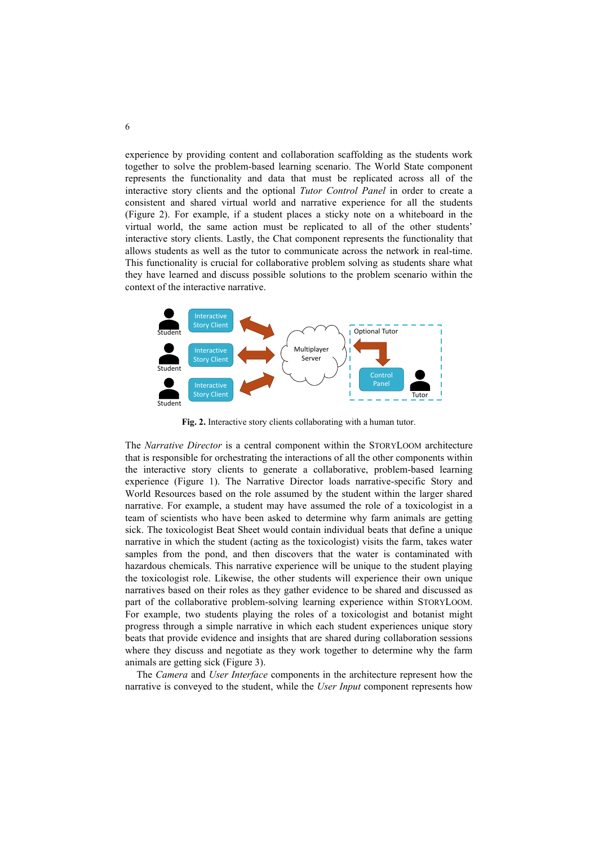experience by providing content and collaboration scaffolding as the students work together to solve the problem-based learning scenario. The World State component represents the functionality and data that must be replicated across all of the interactive story clients and the optional *Tutor Control Panel* in order to create a consistent and shared virtual world and narrative experience for all the students (Figure 2). For example, if a student places a sticky note on a whiteboard in the virtual world, the same action must be replicated to all of the other students' interactive story clients. Lastly, the Chat component represents the functionality that allows students as well as the tutor to communicate across the network in real-time. This functionality is crucial for collaborative problem solving as students share what they have learned and discuss possible solutions to the problem scenario within the context of the interactive narrative.



**Fig. 2.** Interactive story clients collaborating with a human tutor.

The *Narrative Director* is a central component within the STORYLOOM architecture that is responsible for orchestrating the interactions of all the other components within the interactive story clients to generate a collaborative, problem-based learning experience (Figure 1). The Narrative Director loads narrative-specific Story and World Resources based on the role assumed by the student within the larger shared narrative. For example, a student may have assumed the role of a toxicologist in a team of scientists who have been asked to determine why farm animals are getting sick. The toxicologist Beat Sheet would contain individual beats that define a unique narrative in which the student (acting as the toxicologist) visits the farm, takes water samples from the pond, and then discovers that the water is contaminated with hazardous chemicals. This narrative experience will be unique to the student playing the toxicologist role. Likewise, the other students will experience their own unique narratives based on their roles as they gather evidence to be shared and discussed as part of the collaborative problem-solving learning experience within STORYLOOM. For example, two students playing the roles of a toxicologist and botanist might progress through a simple narrative in which each student experiences unique story beats that provide evidence and insights that are shared during collaboration sessions where they discuss and negotiate as they work together to determine why the farm animals are getting sick (Figure 3).

The *Camera* and *User Interface* components in the architecture represent how the narrative is conveyed to the student, while the *User Input* component represents how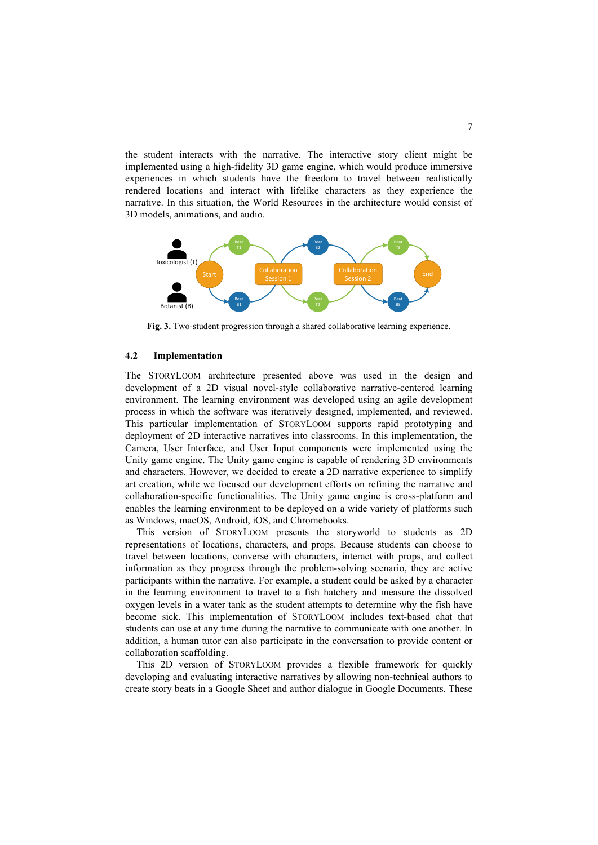the student interacts with the narrative. The interactive story client might be implemented using a high-fidelity 3D game engine, which would produce immersive experiences in which students have the freedom to travel between realistically rendered locations and interact with lifelike characters as they experience the narrative. In this situation, the World Resources in the architecture would consist of 3D models, animations, and audio.



**Fig. 3.** Two-student progression through a shared collaborative learning experience.

#### **4.2 Implementation**

The STORYLOOM architecture presented above was used in the design and development of a 2D visual novel-style collaborative narrative-centered learning environment. The learning environment was developed using an agile development process in which the software was iteratively designed, implemented, and reviewed. This particular implementation of STORYLOOM supports rapid prototyping and deployment of 2D interactive narratives into classrooms. In this implementation, the Camera, User Interface, and User Input components were implemented using the Unity game engine. The Unity game engine is capable of rendering 3D environments and characters. However, we decided to create a 2D narrative experience to simplify art creation, while we focused our development efforts on refining the narrative and collaboration-specific functionalities. The Unity game engine is cross-platform and enables the learning environment to be deployed on a wide variety of platforms such as Windows, macOS, Android, iOS, and Chromebooks.

This version of STORYLOOM presents the storyworld to students as 2D representations of locations, characters, and props. Because students can choose to travel between locations, converse with characters, interact with props, and collect information as they progress through the problem-solving scenario, they are active participants within the narrative. For example, a student could be asked by a character in the learning environment to travel to a fish hatchery and measure the dissolved oxygen levels in a water tank as the student attempts to determine why the fish have become sick. This implementation of STORYLOOM includes text-based chat that students can use at any time during the narrative to communicate with one another. In addition, a human tutor can also participate in the conversation to provide content or collaboration scaffolding.

This 2D version of STORYLOOM provides a flexible framework for quickly developing and evaluating interactive narratives by allowing non-technical authors to create story beats in a Google Sheet and author dialogue in Google Documents. These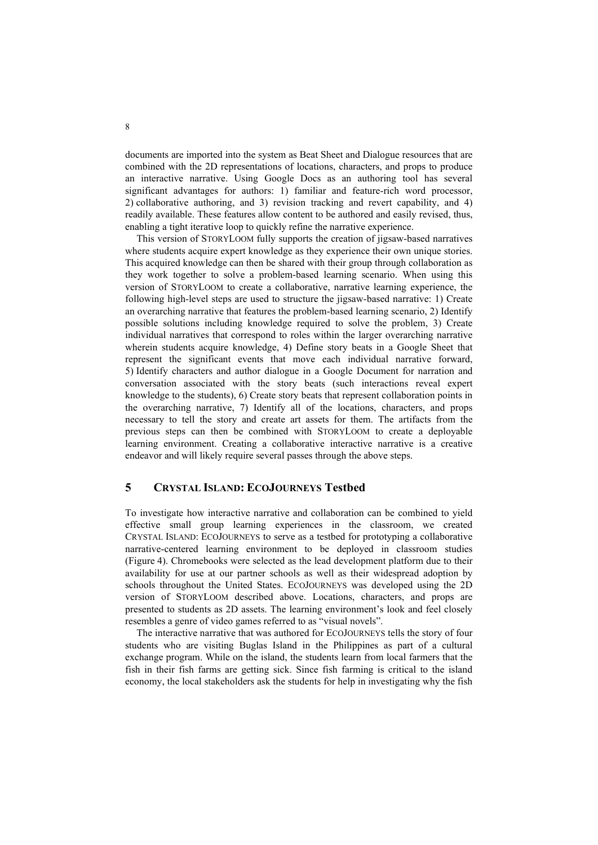documents are imported into the system as Beat Sheet and Dialogue resources that are combined with the 2D representations of locations, characters, and props to produce an interactive narrative. Using Google Docs as an authoring tool has several significant advantages for authors: 1) familiar and feature-rich word processor, 2) collaborative authoring, and 3) revision tracking and revert capability, and 4) readily available. These features allow content to be authored and easily revised, thus, enabling a tight iterative loop to quickly refine the narrative experience.

This version of STORYLOOM fully supports the creation of jigsaw-based narratives where students acquire expert knowledge as they experience their own unique stories. This acquired knowledge can then be shared with their group through collaboration as they work together to solve a problem-based learning scenario. When using this version of STORYLOOM to create a collaborative, narrative learning experience, the following high-level steps are used to structure the jigsaw-based narrative: 1) Create an overarching narrative that features the problem-based learning scenario, 2) Identify possible solutions including knowledge required to solve the problem, 3) Create individual narratives that correspond to roles within the larger overarching narrative wherein students acquire knowledge, 4) Define story beats in a Google Sheet that represent the significant events that move each individual narrative forward, 5) Identify characters and author dialogue in a Google Document for narration and conversation associated with the story beats (such interactions reveal expert knowledge to the students), 6) Create story beats that represent collaboration points in the overarching narrative, 7) Identify all of the locations, characters, and props necessary to tell the story and create art assets for them. The artifacts from the previous steps can then be combined with STORYLOOM to create a deployable learning environment. Creating a collaborative interactive narrative is a creative endeavor and will likely require several passes through the above steps.

### **5 CRYSTAL ISLAND: ECOJOURNEYS Testbed**

To investigate how interactive narrative and collaboration can be combined to yield effective small group learning experiences in the classroom, we created CRYSTAL ISLAND: ECOJOURNEYS to serve as a testbed for prototyping a collaborative narrative-centered learning environment to be deployed in classroom studies (Figure 4). Chromebooks were selected as the lead development platform due to their availability for use at our partner schools as well as their widespread adoption by schools throughout the United States. ECOJOURNEYS was developed using the 2D version of STORYLOOM described above. Locations, characters, and props are presented to students as 2D assets. The learning environment's look and feel closely resembles a genre of video games referred to as "visual novels".

The interactive narrative that was authored for ECOJOURNEYS tells the story of four students who are visiting Buglas Island in the Philippines as part of a cultural exchange program. While on the island, the students learn from local farmers that the fish in their fish farms are getting sick. Since fish farming is critical to the island economy, the local stakeholders ask the students for help in investigating why the fish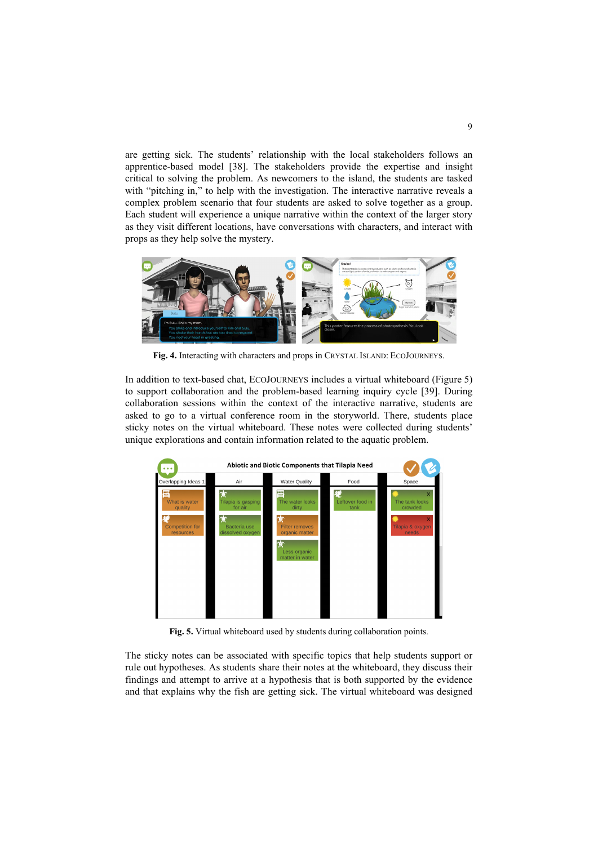are getting sick. The students' relationship with the local stakeholders follows an apprentice-based model [38]. The stakeholders provide the expertise and insight critical to solving the problem. As newcomers to the island, the students are tasked with "pitching in," to help with the investigation. The interactive narrative reveals a complex problem scenario that four students are asked to solve together as a group. Each student will experience a unique narrative within the context of the larger story as they visit different locations, have conversations with characters, and interact with props as they help solve the mystery.



**Fig. 4.** Interacting with characters and props in CRYSTAL ISLAND: ECOJOURNEYS.

In addition to text-based chat, ECOJOURNEYS includes a virtual whiteboard (Figure 5) to support collaboration and the problem-based learning inquiry cycle [39]. During collaboration sessions within the context of the interactive narrative, students are asked to go to a virtual conference room in the storyworld. There, students place sticky notes on the virtual whiteboard. These notes were collected during students' unique explorations and contain information related to the aquatic problem.

| $\bullet$ $\bullet$ $\bullet$       | Abiotic and Biotic Components that Tilapia Need |                                                                                      |                          |                                                      |
|-------------------------------------|-------------------------------------------------|--------------------------------------------------------------------------------------|--------------------------|------------------------------------------------------|
| Overlapping Ideas 1                 | Air                                             | <b>Water Quality</b>                                                                 | Food                     | Space                                                |
| 噕<br>What is water<br>quality       | 食<br>Tilapia is gasping<br>for air              | 噕<br>The water looks<br>dirty                                                        | Leftover food in<br>tank | $\overline{\mathsf{x}}$<br>The tank looks<br>crowded |
| <b>Competition for</b><br>resources | 寅<br>Bacteria use<br>dissolved oxygen           | 寅<br><b>Filter removes</b><br>organic matter<br>偵<br>Less organic<br>matter in water |                          | $\overline{\mathsf{x}}$<br>Tilapia & oxygen<br>needs |

**Fig. 5.** Virtual whiteboard used by students during collaboration points.

The sticky notes can be associated with specific topics that help students support or rule out hypotheses. As students share their notes at the whiteboard, they discuss their findings and attempt to arrive at a hypothesis that is both supported by the evidence and that explains why the fish are getting sick. The virtual whiteboard was designed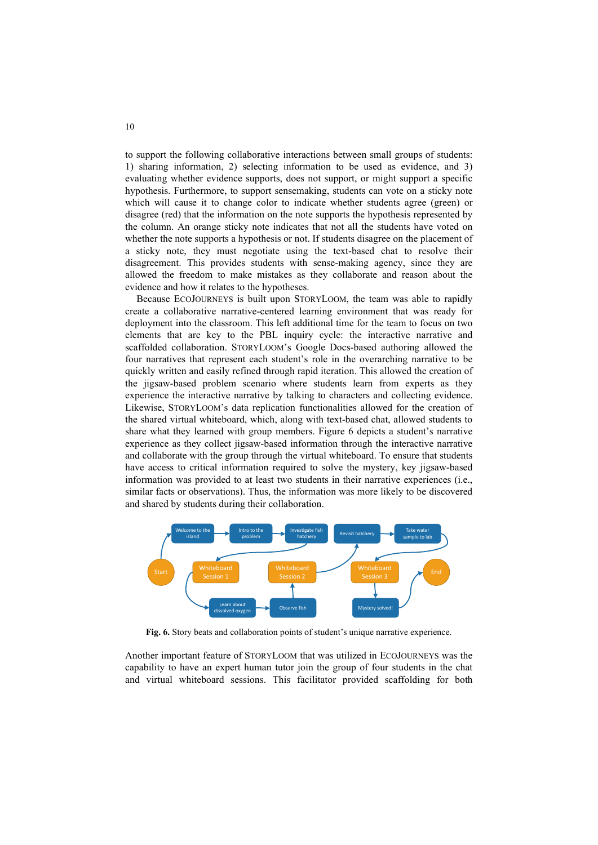to support the following collaborative interactions between small groups of students: 1) sharing information, 2) selecting information to be used as evidence, and 3) evaluating whether evidence supports, does not support, or might support a specific hypothesis. Furthermore, to support sensemaking, students can vote on a sticky note which will cause it to change color to indicate whether students agree (green) or disagree (red) that the information on the note supports the hypothesis represented by the column. An orange sticky note indicates that not all the students have voted on whether the note supports a hypothesis or not. If students disagree on the placement of a sticky note, they must negotiate using the text-based chat to resolve their disagreement. This provides students with sense-making agency, since they are allowed the freedom to make mistakes as they collaborate and reason about the evidence and how it relates to the hypotheses.

Because ECOJOURNEYS is built upon STORYLOOM, the team was able to rapidly create a collaborative narrative-centered learning environment that was ready for deployment into the classroom. This left additional time for the team to focus on two elements that are key to the PBL inquiry cycle: the interactive narrative and scaffolded collaboration. STORYLOOM's Google Docs-based authoring allowed the four narratives that represent each student's role in the overarching narrative to be quickly written and easily refined through rapid iteration. This allowed the creation of the jigsaw-based problem scenario where students learn from experts as they experience the interactive narrative by talking to characters and collecting evidence. Likewise, STORYLOOM's data replication functionalities allowed for the creation of the shared virtual whiteboard, which, along with text-based chat, allowed students to share what they learned with group members. Figure 6 depicts a student's narrative experience as they collect jigsaw-based information through the interactive narrative and collaborate with the group through the virtual whiteboard. To ensure that students have access to critical information required to solve the mystery, key jigsaw-based information was provided to at least two students in their narrative experiences (i.e., similar facts or observations). Thus, the information was more likely to be discovered and shared by students during their collaboration.



**Fig. 6.** Story beats and collaboration points of student's unique narrative experience.

Another important feature of STORYLOOM that was utilized in ECOJOURNEYS was the capability to have an expert human tutor join the group of four students in the chat and virtual whiteboard sessions. This facilitator provided scaffolding for both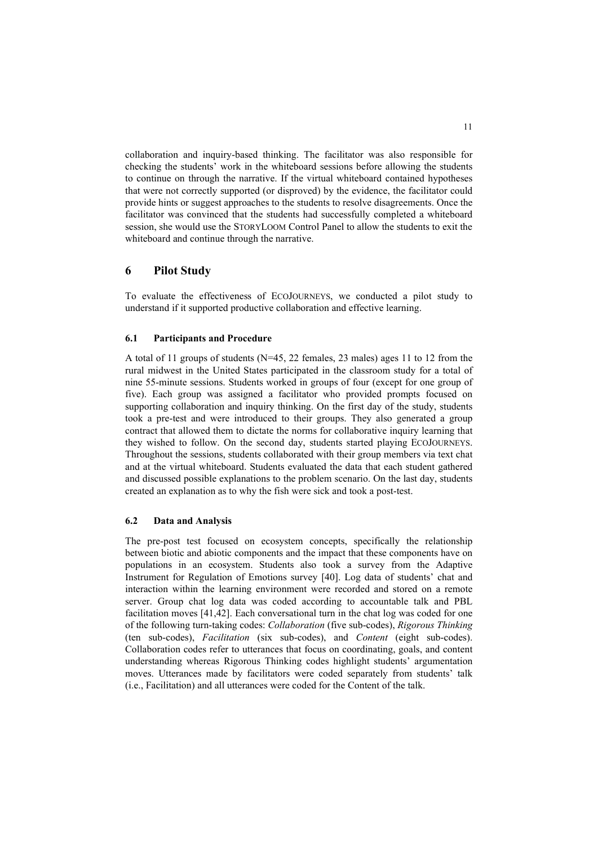collaboration and inquiry-based thinking. The facilitator was also responsible for checking the students' work in the whiteboard sessions before allowing the students to continue on through the narrative. If the virtual whiteboard contained hypotheses that were not correctly supported (or disproved) by the evidence, the facilitator could provide hints or suggest approaches to the students to resolve disagreements. Once the facilitator was convinced that the students had successfully completed a whiteboard session, she would use the STORYLOOM Control Panel to allow the students to exit the whiteboard and continue through the narrative.

### **6 Pilot Study**

To evaluate the effectiveness of ECOJOURNEYS, we conducted a pilot study to understand if it supported productive collaboration and effective learning.

#### **6.1 Participants and Procedure**

A total of 11 groups of students (N=45, 22 females, 23 males) ages 11 to 12 from the rural midwest in the United States participated in the classroom study for a total of nine 55-minute sessions. Students worked in groups of four (except for one group of five). Each group was assigned a facilitator who provided prompts focused on supporting collaboration and inquiry thinking. On the first day of the study, students took a pre-test and were introduced to their groups. They also generated a group contract that allowed them to dictate the norms for collaborative inquiry learning that they wished to follow. On the second day, students started playing ECOJOURNEYS. Throughout the sessions, students collaborated with their group members via text chat and at the virtual whiteboard. Students evaluated the data that each student gathered and discussed possible explanations to the problem scenario. On the last day, students created an explanation as to why the fish were sick and took a post-test.

#### **6.2 Data and Analysis**

The pre-post test focused on ecosystem concepts, specifically the relationship between biotic and abiotic components and the impact that these components have on populations in an ecosystem. Students also took a survey from the Adaptive Instrument for Regulation of Emotions survey [40]. Log data of students' chat and interaction within the learning environment were recorded and stored on a remote server. Group chat log data was coded according to accountable talk and PBL facilitation moves [41,42]. Each conversational turn in the chat log was coded for one of the following turn-taking codes: *Collaboration* (five sub-codes), *Rigorous Thinking* (ten sub-codes), *Facilitation* (six sub-codes), and *Content* (eight sub-codes). Collaboration codes refer to utterances that focus on coordinating, goals, and content understanding whereas Rigorous Thinking codes highlight students' argumentation moves. Utterances made by facilitators were coded separately from students' talk (i.e., Facilitation) and all utterances were coded for the Content of the talk.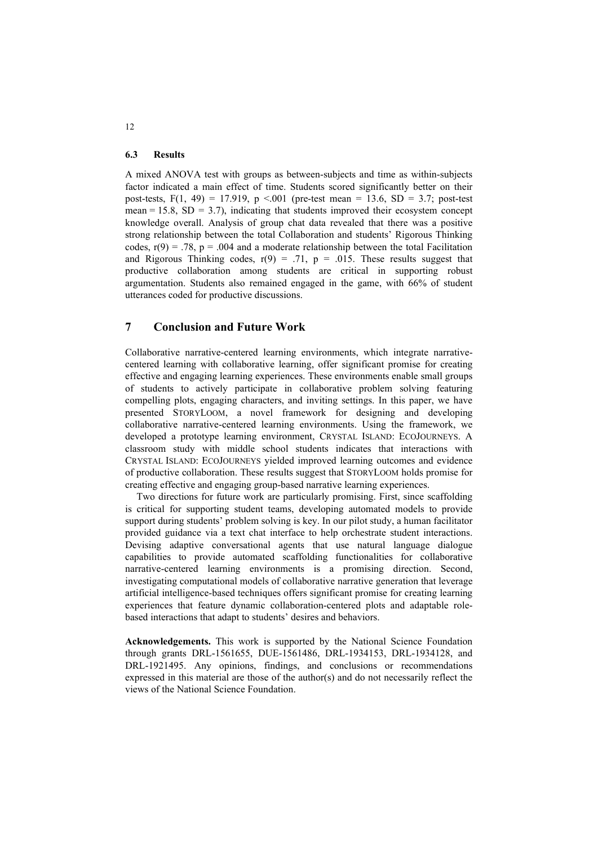#### **6.3 Results**

A mixed ANOVA test with groups as between-subjects and time as within-subjects factor indicated a main effect of time. Students scored significantly better on their post-tests,  $F(1, 49) = 17.919$ ,  $p \le 0.001$  (pre-test mean = 13.6, SD = 3.7; post-test mean = 15.8,  $SD = 3.7$ ), indicating that students improved their ecosystem concept knowledge overall. Analysis of group chat data revealed that there was a positive strong relationship between the total Collaboration and students' Rigorous Thinking codes,  $r(9) = .78$ ,  $p = .004$  and a moderate relationship between the total Facilitation and Rigorous Thinking codes,  $r(9) = .71$ ,  $p = .015$ . These results suggest that productive collaboration among students are critical in supporting robust argumentation. Students also remained engaged in the game, with 66% of student utterances coded for productive discussions.

## **7 Conclusion and Future Work**

Collaborative narrative-centered learning environments, which integrate narrativecentered learning with collaborative learning, offer significant promise for creating effective and engaging learning experiences. These environments enable small groups of students to actively participate in collaborative problem solving featuring compelling plots, engaging characters, and inviting settings. In this paper, we have presented STORYLOOM, a novel framework for designing and developing collaborative narrative-centered learning environments. Using the framework, we developed a prototype learning environment, CRYSTAL ISLAND: ECOJOURNEYS. A classroom study with middle school students indicates that interactions with CRYSTAL ISLAND: ECOJOURNEYS yielded improved learning outcomes and evidence of productive collaboration. These results suggest that STORYLOOM holds promise for creating effective and engaging group-based narrative learning experiences.

Two directions for future work are particularly promising. First, since scaffolding is critical for supporting student teams, developing automated models to provide support during students' problem solving is key. In our pilot study, a human facilitator provided guidance via a text chat interface to help orchestrate student interactions. Devising adaptive conversational agents that use natural language dialogue capabilities to provide automated scaffolding functionalities for collaborative narrative-centered learning environments is a promising direction. Second, investigating computational models of collaborative narrative generation that leverage artificial intelligence-based techniques offers significant promise for creating learning experiences that feature dynamic collaboration-centered plots and adaptable rolebased interactions that adapt to students' desires and behaviors.

**Acknowledgements.** This work is supported by the National Science Foundation through grants DRL-1561655, DUE-1561486, DRL-1934153, DRL-1934128, and DRL-1921495. Any opinions, findings, and conclusions or recommendations expressed in this material are those of the author(s) and do not necessarily reflect the views of the National Science Foundation.

12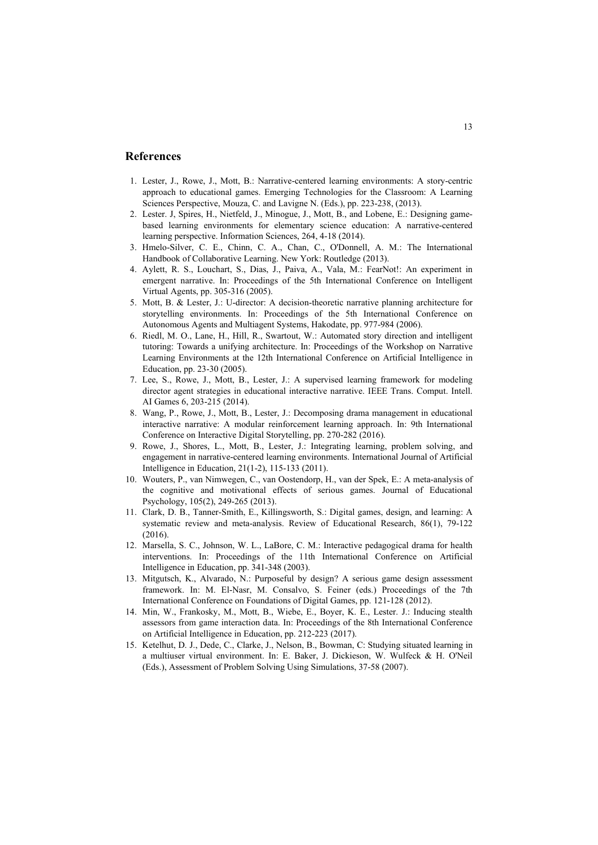### **References**

- 1. Lester, J., Rowe, J., Mott, B.: Narrative-centered learning environments: A story-centric approach to educational games. Emerging Technologies for the Classroom: A Learning Sciences Perspective, Mouza, C. and Lavigne N. (Eds.), pp. 223-238, (2013).
- 2. Lester. J, Spires, H., Nietfeld, J., Minogue, J., Mott, B., and Lobene, E.: Designing gamebased learning environments for elementary science education: A narrative-centered learning perspective. Information Sciences, 264, 4-18 (2014).
- 3. Hmelo-Silver, C. E., Chinn, C. A., Chan, C., O'Donnell, A. M.: The International Handbook of Collaborative Learning. New York: Routledge (2013).
- 4. Aylett, R. S., Louchart, S., Dias, J., Paiva, A., Vala, M.: FearNot!: An experiment in emergent narrative. In: Proceedings of the 5th International Conference on Intelligent Virtual Agents, pp. 305-316 (2005).
- 5. Mott, B. & Lester, J.: U-director: A decision-theoretic narrative planning architecture for storytelling environments. In: Proceedings of the 5th International Conference on Autonomous Agents and Multiagent Systems, Hakodate, pp. 977-984 (2006).
- 6. Riedl, M. O., Lane, H., Hill, R., Swartout, W.: Automated story direction and intelligent tutoring: Towards a unifying architecture. In: Proceedings of the Workshop on Narrative Learning Environments at the 12th International Conference on Artificial Intelligence in Education, pp. 23-30 (2005).
- 7. Lee, S., Rowe, J., Mott, B., Lester, J.: A supervised learning framework for modeling director agent strategies in educational interactive narrative. IEEE Trans. Comput. Intell. AI Games 6, 203-215 (2014).
- 8. Wang, P., Rowe, J., Mott, B., Lester, J.: Decomposing drama management in educational interactive narrative: A modular reinforcement learning approach. In: 9th International Conference on Interactive Digital Storytelling, pp. 270-282 (2016).
- 9. Rowe, J., Shores, L., Mott, B., Lester, J.: Integrating learning, problem solving, and engagement in narrative-centered learning environments. International Journal of Artificial Intelligence in Education, 21(1-2), 115-133 (2011).
- 10. Wouters, P., van Nimwegen, C., van Oostendorp, H., van der Spek, E.: A meta-analysis of the cognitive and motivational effects of serious games. Journal of Educational Psychology, 105(2), 249-265 (2013).
- 11. Clark, D. B., Tanner-Smith, E., Killingsworth, S.: Digital games, design, and learning: A systematic review and meta-analysis. Review of Educational Research, 86(1), 79-122 (2016).
- 12. Marsella, S. C., Johnson, W. L., LaBore, C. M.: Interactive pedagogical drama for health interventions. In: Proceedings of the 11th International Conference on Artificial Intelligence in Education, pp. 341-348 (2003).
- 13. Mitgutsch, K., Alvarado, N.: Purposeful by design? A serious game design assessment framework. In: M. El-Nasr, M. Consalvo, S. Feiner (eds.) Proceedings of the 7th International Conference on Foundations of Digital Games, pp. 121-128 (2012).
- 14. Min, W., Frankosky, M., Mott, B., Wiebe, E., Boyer, K. E., Lester. J.: Inducing stealth assessors from game interaction data. In: Proceedings of the 8th International Conference on Artificial Intelligence in Education, pp. 212-223 (2017).
- 15. Ketelhut, D. J., Dede, C., Clarke, J., Nelson, B., Bowman, C: Studying situated learning in a multiuser virtual environment. In: E. Baker, J. Dickieson, W. Wulfeck & H. O'Neil (Eds.), Assessment of Problem Solving Using Simulations, 37-58 (2007).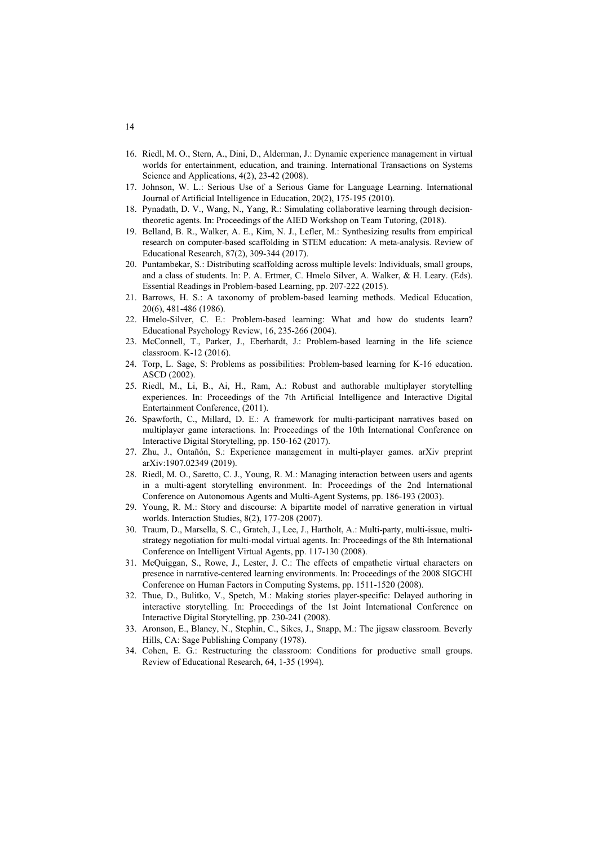- 16. Riedl, M. O., Stern, A., Dini, D., Alderman, J.: Dynamic experience management in virtual worlds for entertainment, education, and training. International Transactions on Systems Science and Applications, 4(2), 23-42 (2008).
- 17. Johnson, W. L.: Serious Use of a Serious Game for Language Learning. International Journal of Artificial Intelligence in Education, 20(2), 175-195 (2010).
- 18. Pynadath, D. V., Wang, N., Yang, R.: Simulating collaborative learning through decisiontheoretic agents. In: Proceedings of the AIED Workshop on Team Tutoring, (2018).
- 19. Belland, B. R., Walker, A. E., Kim, N. J., Lefler, M.: Synthesizing results from empirical research on computer-based scaffolding in STEM education: A meta-analysis. Review of Educational Research, 87(2), 309-344 (2017).
- 20. Puntambekar, S.: Distributing scaffolding across multiple levels: Individuals, small groups, and a class of students. In: P. A. Ertmer, C. Hmelo Silver, A. Walker, & H. Leary. (Eds). Essential Readings in Problem-based Learning, pp. 207-222 (2015).
- 21. Barrows, H. S.: A taxonomy of problem-based learning methods. Medical Education, 20(6), 481-486 (1986).
- 22. Hmelo-Silver, C. E.: Problem-based learning: What and how do students learn? Educational Psychology Review, 16, 235-266 (2004).
- 23. McConnell, T., Parker, J., Eberhardt, J.: Problem-based learning in the life science classroom. K-12 (2016).
- 24. Torp, L. Sage, S: Problems as possibilities: Problem-based learning for K-16 education. ASCD (2002).
- 25. Riedl, M., Li, B., Ai, H., Ram, A.: Robust and authorable multiplayer storytelling experiences. In: Proceedings of the 7th Artificial Intelligence and Interactive Digital Entertainment Conference, (2011).
- 26. Spawforth, C., Millard, D. E.: A framework for multi-participant narratives based on multiplayer game interactions. In: Proceedings of the 10th International Conference on Interactive Digital Storytelling, pp. 150-162 (2017).
- 27. Zhu, J., Ontañón, S.: Experience management in multi-player games. arXiv preprint arXiv:1907.02349 (2019).
- 28. Riedl, M. O., Saretto, C. J., Young, R. M.: Managing interaction between users and agents in a multi-agent storytelling environment. In: Proceedings of the 2nd International Conference on Autonomous Agents and Multi-Agent Systems, pp. 186-193 (2003).
- 29. Young, R. M.: Story and discourse: A bipartite model of narrative generation in virtual worlds. Interaction Studies, 8(2), 177-208 (2007).
- 30. Traum, D., Marsella, S. C., Gratch, J., Lee, J., Hartholt, A.: Multi-party, multi-issue, multistrategy negotiation for multi-modal virtual agents. In: Proceedings of the 8th International Conference on Intelligent Virtual Agents, pp. 117-130 (2008).
- 31. McQuiggan, S., Rowe, J., Lester, J. C.: The effects of empathetic virtual characters on presence in narrative-centered learning environments. In: Proceedings of the 2008 SIGCHI Conference on Human Factors in Computing Systems, pp. 1511-1520 (2008).
- 32. Thue, D., Bulitko, V., Spetch, M.: Making stories player-specific: Delayed authoring in interactive storytelling. In: Proceedings of the 1st Joint International Conference on Interactive Digital Storytelling, pp. 230-241 (2008).
- 33. Aronson, E., Blaney, N., Stephin, C., Sikes, J., Snapp, M.: The jigsaw classroom. Beverly Hills, CA: Sage Publishing Company (1978).
- 34. Cohen, E. G.: Restructuring the classroom: Conditions for productive small groups. Review of Educational Research, 64, 1-35 (1994).

#### 14